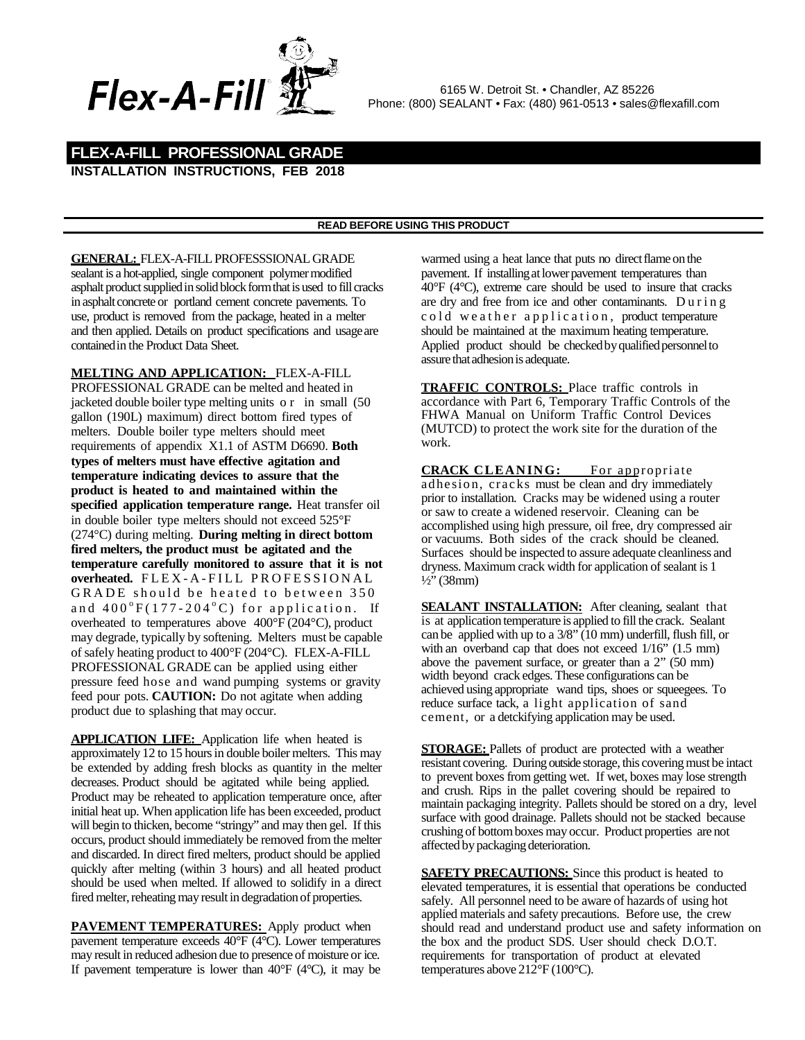

## **INSTALLATION INSTRUCTIONS, FEB 2018 FLEX-A-FILL PROFESSIONAL GRADE**

## **READ BEFORE USING THIS PRODUCT**

**GENERAL:** FLEX-A-FILL PROFESSSIONAL GRADE sealant is a hot-applied, single component polymer modified asphalt product supplied in solid block form that is used to fill cracks in asphalt concrete or portland cement concrete pavements. To use, product is removed from the package, heated in a melter and then applied. Details on product specifications and usageare containedin the Product Data Sheet.

**MELTING AND APPLICATION:** FLEX-A-FILL PROFESSIONAL GRADE can be melted and heated in jacketed double boiler type melting units or in small (50 gallon (190L) maximum) direct bottom fired types of melters. Double boiler type melters should meet requirements of appendix X1.1 of ASTM D6690. **Both types of melters must have effective agitation and temperature indicating devices to assure that the product is heated to and maintained within the specified application temperature range.** Heat transfer oil in double boiler type melters should not exceed 525°F (274°C) during melting. **During melting in direct bottom fired melters, the product must be agitated and the temperature carefully monitored to assure that it is not overheated.** FLEX - A - FILL PROFESSIONAL GRADE should be heated to between 350 and  $400^{\circ}F(177-204^{\circ}C)$  for application. If overheated to temperatures above 400°F (204°C), product may degrade, typically by softening. Melters must be capable of safely heating product to 400°F (204°C). FLEX-A-FILL PROFESSIONAL GRADE can be applied using either pressure feed hose and wand pumping systems or gravity feed pour pots. **CAUTION:** Do not agitate when adding product due to splashing that may occur.

**APPLICATION LIFE:** Application life when heated is approximately 12 to 15 hoursin double boiler melters. This may be extended by adding fresh blocks as quantity in the melter decreases. Product should be agitated while being applied. Product may be reheated to application temperature once, after initial heat up. When application life has been exceeded, product will begin to thicken, become "stringy" and may then gel. If this occurs, product should immediately be removed from the melter and discarded. In direct fired melters, product should be applied quickly after melting (within 3 hours) and all heated product should be used when melted. If allowed to solidify in a direct fired melter, reheating may result in degradation of properties.

**PAVEMENT TEMPERATURES:** Apply product when pavement temperature exceeds 40°F (4°C). Lower temperatures may result in reduced adhesion due to presence of moisture or ice. If pavement temperature is lower than  $40^{\circ}$ F ( $4^{\circ}$ C), it may be

warmed using a heat lance that puts no direct flame on the pavement. If installing at lower pavement temperatures than 40°F (4°C), extreme care should be used to insure that cracks are dry and free from ice and other contaminants. During cold weather application, product temperature should be maintained at the maximum heating temperature. Applied product should be checked by qualified personnel to assure that adhesion is adequate.

**TRAFFIC CONTROLS:** Place traffic controls in accordance with Part 6, Temporary Traffic Controls of the FHWA Manual on Uniform Traffic Control Devices (MUTCD) to protect the work site for the duration of the work.

**CRACK CLEANING:** For appropriate adhesion, cracks must be clean and dry immediately prior to installation. Cracks may be widened using a router or saw to create a widened reservoir. Cleaning can be accomplished using high pressure, oil free, dry compressed air or vacuums. Both sides of the crack should be cleaned. Surfaces should be inspected to assure adequate cleanliness and dryness. Maximum crack width for application of sealant is 1  $\frac{1}{2}$ " (38mm)

**SEALANT INSTALLATION:** After cleaning, sealant that is at application temperature is applied to fill the crack. Sealant can be applied with up to a 3/8" (10 mm) underfill, flush fill, or with an overband cap that does not exceed  $1/16$ " (1.5 mm) above the pavement surface, or greater than a 2" (50 mm) width beyond crack edges.These configurations can be achieved using appropriate wand tips, shoes or squeegees. To reduce surface tack, a light application of sand cement, or a detckifying application may be used.

**STORAGE:** Pallets of product are protected with a weather resistant covering. During outside storage, this coveringmust be intact to prevent boxes from getting wet. If wet, boxes may lose strength and crush. Rips in the pallet covering should be repaired to maintain packaging integrity. Pallets should be stored on a dry, level surface with good drainage. Pallets should not be stacked because crushing of bottomboxes may occur. Product properties are not affected by packaging deterioration.

**SAFETY PRECAUTIONS:** Since this product is heated to elevated temperatures, it is essential that operations be conducted safely. All personnel need to be aware of hazards of using hot applied materials and safety precautions. Before use, the crew should read and understand product use and safety information on the box and the product SDS. User should check D.O.T. requirements for transportation of product at elevated temperatures above 212°F (100°C).